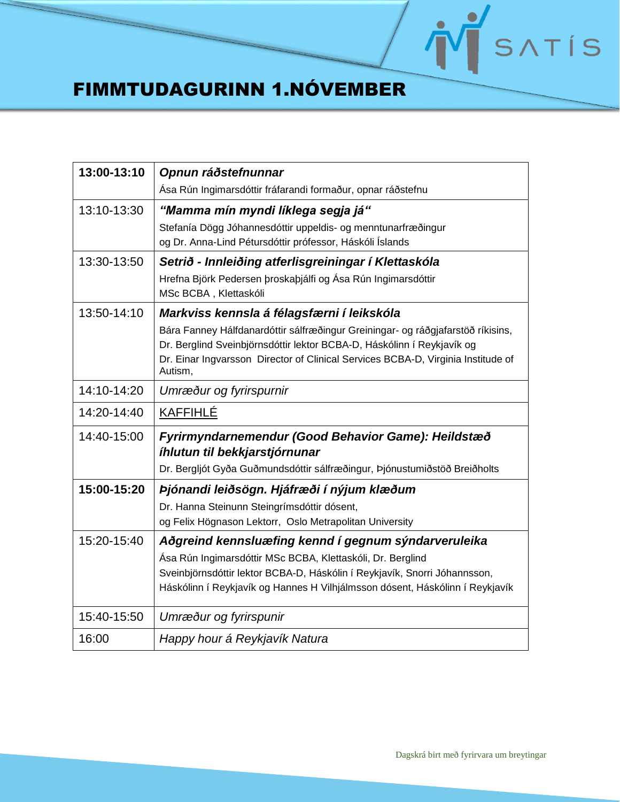## NSATIS

## FIMMTUDAGURINN 1.NÓVEMBER

| 13:00-13:10 | Opnun ráðstefnunnar                                                                         |
|-------------|---------------------------------------------------------------------------------------------|
|             | Ása Rún Ingimarsdóttir fráfarandi formaður, opnar ráðstefnu                                 |
| 13:10-13:30 | "Mamma mín myndi líklega segja já"                                                          |
|             | Stefanía Dögg Jóhannesdóttir uppeldis- og menntunarfræðingur                                |
|             | og Dr. Anna-Lind Pétursdóttir prófessor, Háskóli Íslands                                    |
| 13:30-13:50 | Setrið - Innleiðing atferlisgreiningar í Klettaskóla                                        |
|             | Hrefna Björk Pedersen þroskaþjálfi og Ása Rún Ingimarsdóttir<br>MSc BCBA, Klettaskóli       |
| 13:50-14:10 | Markviss kennsla á félagsfærni í leikskóla                                                  |
|             | Bára Fanney Hálfdanardóttir sálfræðingur Greiningar- og ráðgjafarstöð ríkisins,             |
|             | Dr. Berglind Sveinbjörnsdóttir lektor BCBA-D, Háskólinn í Reykjavík og                      |
|             | Dr. Einar Ingvarsson Director of Clinical Services BCBA-D, Virginia Institude of<br>Autism, |
| 14:10-14:20 | Umræður og fyrirspurnir                                                                     |
| 14:20-14:40 | <b>KAFFIHLÉ</b>                                                                             |
| 14:40-15:00 | Fyrirmyndarnemendur (Good Behavior Game): Heildstæð                                         |
|             | íhlutun til bekkjarstjórnunar                                                               |
|             | Dr. Bergljót Gyða Guðmundsdóttir sálfræðingur, Þjónustumiðstöð Breiðholts                   |
| 15:00-15:20 | Þjónandi leiðsögn. Hjáfræði í nýjum klæðum                                                  |
|             | Dr. Hanna Steinunn Steingrímsdóttir dósent,                                                 |
|             | og Felix Högnason Lektorr, Oslo Metrapolitan University                                     |
| 15:20-15:40 | Aðgreind kennsluæfing kennd í gegnum sýndarveruleika                                        |
|             | Ása Rún Ingimarsdóttir MSc BCBA, Klettaskóli, Dr. Berglind                                  |
|             | Sveinbjörnsdóttir lektor BCBA-D, Háskólin í Reykjavík, Snorri Jóhannsson,                   |
|             | Háskólinn í Reykjavík og Hannes H Vilhjálmsson dósent, Háskólinn í Reykjavík                |
| 15:40-15:50 | Umræður og fyrirspunir                                                                      |
| 16:00       | Happy hour á Reykjavík Natura                                                               |